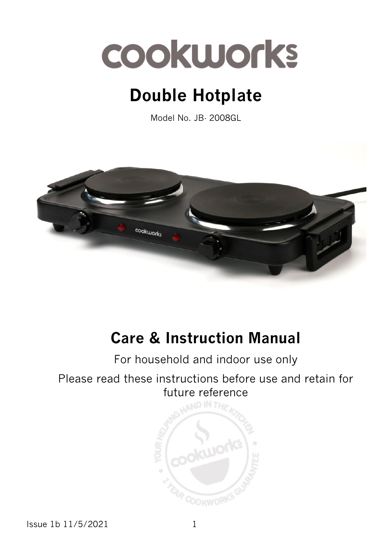

# **Double Hotplate**

Model No. JB- 2008GL



# **Care & Instruction Manual**

For household and indoor use only

### Please read these instructions before use and retain for future reference



Issue 1b 11/5/2021 1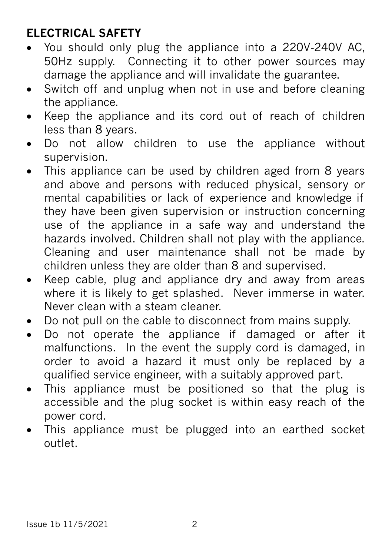## **ELECTRICAL SAFETY**

- You should only plug the appliance into a 220V‐240V AC, 50Hz supply. Connecting it to other power sources may damage the appliance and will invalidate the guarantee.
- Switch off and unplug when not in use and before cleaning the appliance.
- Keep the appliance and its cord out of reach of children less than 8 years.
- Do not allow children to use the appliance without supervision.
- This appliance can be used by children aged from 8 years and above and persons with reduced physical, sensory or mental capabilities or lack of experience and knowledge if they have been given supervision or instruction concerning use of the appliance in a safe way and understand the hazards involved. Children shall not play with the appliance. Cleaning and user maintenance shall not be made by children unless they are older than 8 and supervised.
- Keep cable, plug and appliance dry and away from areas where it is likely to get splashed. Never immerse in water. Never clean with a steam cleaner.
- Do not pull on the cable to disconnect from mains supply.
- Do not operate the appliance if damaged or after it malfunctions. In the event the supply cord is damaged, in order to avoid a hazard it must only be replaced by a qualified service engineer, with a suitably approved part.
- This appliance must be positioned so that the plug is accessible and the plug socket is within easy reach of the power cord.
- This appliance must be plugged into an earthed socket outlet.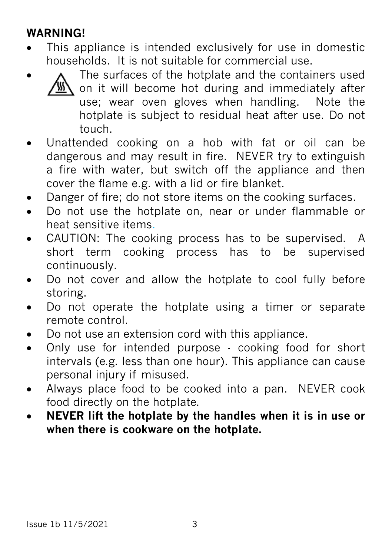## **WARNING!**

- This appliance is intended exclusively for use in domestic households. It is not suitable for commercial use.
	- The surfaces of the hotplate and the containers used on it will become hot during and immediately after use; wear oven gloves when handling. Note the hotplate is subject to residual heat after use. Do not touch.
- Unattended cooking on a hob with fat or oil can be dangerous and may result in fire.NEVER try to extinguish a fire with water, but switch off the appliance and then cover the flame e.g. with a lid or fire blanket.
- Danger of fire; do not store items on the cooking surfaces.
- Do not use the hotplate on, near or under flammable or heat sensitive items.
- CAUTION: The cooking process has to be supervised. A short term cooking process has to be supervised continuously.
- Do not cover and allow the hotplate to cool fully before storing.
- Do not operate the hotplate using a timer or separate remote control.
- Do not use an extension cord with this appliance.
- Only use for intended purpose cooking food for short intervals (e.g. less than one hour). This appliance can cause personal injury if misused.
- Always place food to be cooked into a pan. NEVER cook food directly on the hotplate.
- **NEVER lift the hotplate by the handles when it is in use or when there is cookware on the hotplate.**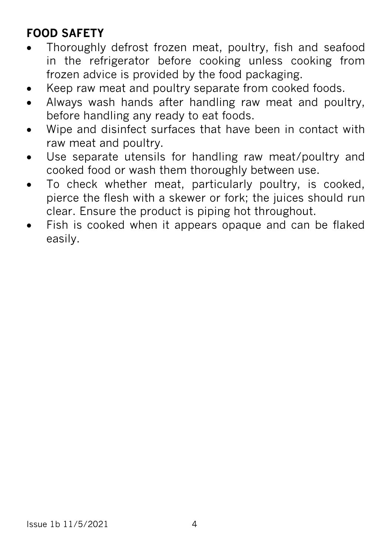# **FOOD SAFETY**

- Thoroughly defrost frozen meat, poultry, fish and seafood in the refrigerator before cooking unless cooking from frozen advice is provided by the food packaging.
- Keep raw meat and poultry separate from cooked foods.
- Always wash hands after handling raw meat and poultry, before handling any ready to eat foods.
- Wipe and disinfect surfaces that have been in contact with raw meat and poultry.
- Use separate utensils for handling raw meat/poultry and cooked food or wash them thoroughly between use.
- To check whether meat, particularly poultry, is cooked, pierce the flesh with a skewer or fork; the juices should run clear. Ensure the product is piping hot throughout.
- Fish is cooked when it appears opaque and can be flaked easily.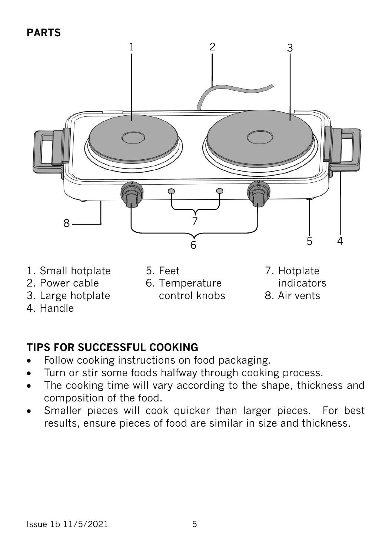**PARTS**



- 1. Small hotplate
- 2. Power cable
- 3. Large hotplate
- 4. Handle

5. Feet

6. Temperature control knobs 7. Hotplate indicators 8. Air vents

#### **TIPS FOR SUCCESSFUL COOKING**

- Follow cooking instructions on food packaging.
- Turn or stir some foods halfway through cooking process.
- The cooking time will vary according to the shape, thickness and composition of the food.
- Smaller pieces will cook quicker than larger pieces. For best results, ensure pieces of food are similar in size and thickness.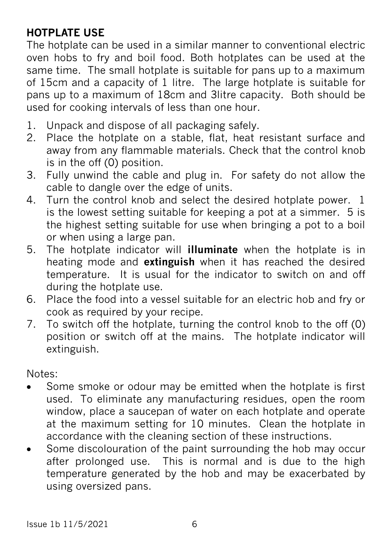#### **HOTPLATE USE**

The hotplate can be used in a similar manner to conventional electric oven hobs to fry and boil food. Both hotplates can be used at the same time. The small hotplate is suitable for pans up to a maximum of 15cm and a capacity of 1 litre. The large hotplate is suitable for pans up to a maximum of 18cm and 3litre capacity. Both should be used for cooking intervals of less than one hour.

- 1. Unpack and dispose of all packaging safely.
- 2. Place the hotplate on a stable, flat, heat resistant surface and away from any flammable materials. Check that the control knob is in the off (0) position.
- 3. Fully unwind the cable and plug in. For safety do not allow the cable to dangle over the edge of units.
- 4. Turn the control knob and select the desired hotplate power. 1 is the lowest setting suitable for keeping a pot at a simmer. 5 is the highest setting suitable for use when bringing a pot to a boil or when using a large pan.
- 5. The hotplate indicator will **illuminate** when the hotplate is in heating mode and **extinguish** when it has reached the desired temperature. It is usual for the indicator to switch on and off during the hotplate use.
- 6. Place the food into a vessel suitable for an electric hob and fry or cook as required by your recipe.
- 7. To switch off the hotplate, turning the control knob to the off (0) position or switch off at the mains. The hotplate indicator will extinguish.

Notes:

- Some smoke or odour may be emitted when the hotplate is first used. To eliminate any manufacturing residues, open the room window, place a saucepan of water on each hotplate and operate at the maximum setting for 10 minutes. Clean the hotplate in accordance with the cleaning section of these instructions.
- Some discolouration of the paint surrounding the hob may occur after prolonged use. This is normal and is due to the high temperature generated by the hob and may be exacerbated by using oversized pans.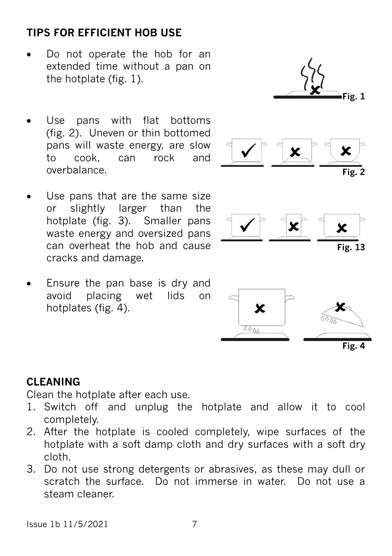#### Issue 1b 11/5/2021 7

#### **TIPS FOR EFFICIENT HOB USE**

- Do not operate the hob for an extended time without a pan on the hotplate (fig. 1).
- Use pans with flat bottoms (fig. 2). Uneven or thin bottomed pans will waste energy, are slow to cook, can rock and overbalance. **Fig. 2**
- Use pans that are the same size or slightly larger than the hotplate (fig. 3). Smaller pans waste energy and oversized pans can overheat the hob and cause cracks and damage.
- Ensure the pan base is dry and avoid placing wet lids on hotplates (fig. 4).



#### **CLEANING**

Clean the hotplate after each use.

- 1. Switch off and unplug the hotplate and allow it to cool completely.
- 2. After the hotplate is cooled completely, wipe surfaces of the hotplate with a soft damp cloth and dry surfaces with a soft dry cloth.
- 3. Do not use strong detergents or abrasives, as these may dull or scratch the surface. Do not immerse in water. Do not use a steam cleaner.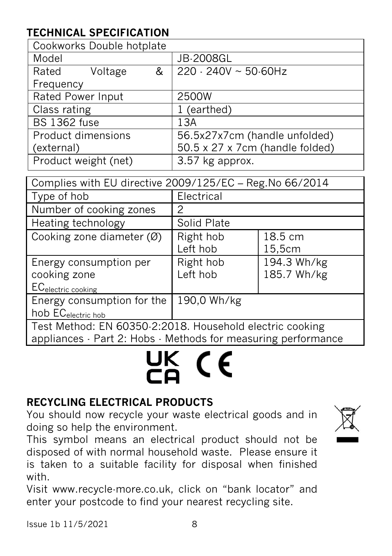### **TECHNICAL SPECIFICATION**

| Cookworks Double hotplate |         |   |                                 |  |
|---------------------------|---------|---|---------------------------------|--|
| Model                     |         |   | <b>JB-2008GL</b>                |  |
| Rated                     | Voltage | & | $220 - 240V \sim 50.60Hz$       |  |
| Frequency                 |         |   |                                 |  |
| Rated Power Input         |         |   | 2500W                           |  |
| Class rating              |         |   | 1 (earthed)                     |  |
| <b>BS 1362 fuse</b>       |         |   | 13A                             |  |
| Product dimensions        |         |   | 56.5x27x7cm (handle unfolded)   |  |
| (external)                |         |   | 50.5 x 27 x 7cm (handle folded) |  |
| Product weight (net)      |         |   | 3.57 kg approx.                 |  |

| Complies with EU directive 2009/125/EC - Reg. No 66/2014                                                                  |                       |                            |  |  |
|---------------------------------------------------------------------------------------------------------------------------|-----------------------|----------------------------|--|--|
| Type of hob                                                                                                               | Electrical            |                            |  |  |
| Number of cooking zones                                                                                                   | 2                     |                            |  |  |
| Heating technology                                                                                                        | Solid Plate           |                            |  |  |
| Cooking zone diameter $(\emptyset)$                                                                                       | Right hob<br>Left hob | 18.5 cm<br>15,5cm          |  |  |
| Energy consumption per<br>cooking zone<br>EC <sub>electric cooking</sub>                                                  | Right hob<br>Left hob | 194.3 Wh/kg<br>185.7 Wh/kg |  |  |
| Energy consumption for the<br>hob EC <sub>electric hob</sub>                                                              | 190,0 Wh/kg           |                            |  |  |
| Test Method: EN 60350-2:2018. Household electric cooking<br>appliances · Part 2: Hobs · Methods for measuring performance |                       |                            |  |  |

# UK (E

#### **RECYCLING ELECTRICAL PRODUCTS**

You should now recycle your waste electrical goods and in doing so help the environment.

This symbol means an electrical product should not be disposed of with normal household waste. Please ensure it is taken to a suitable facility for disposal when finished with.

Visit www.recycle-more.co.uk, click on "bank locator" and enter your postcode to find your nearest recycling site.

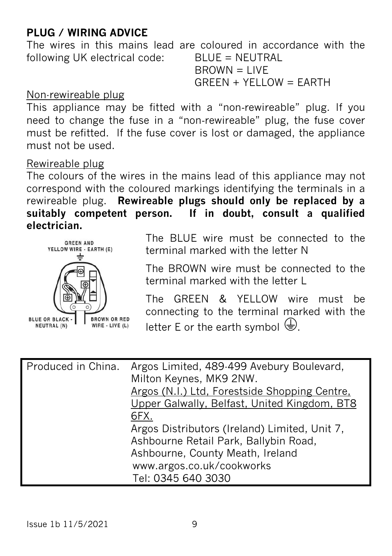#### **PLUG / WIRING ADVICE**

The wires in this mains lead are coloured in accordance with the following UK electrical code: BLUE = NEUTRAL  $BROWN = 1$  IVF

 $G$ REEN + YELLOW = EARTH

#### Non-rewireable plug

This appliance may be fitted with a "non-rewireable" plug. If you need to change the fuse in a "non‐rewireable" plug, the fuse cover must be refitted. If the fuse cover is lost or damaged, the appliance must not be used.

#### Rewireable plug

The colours of the wires in the mains lead of this appliance may not correspond with the coloured markings identifying the terminals in a rewireable plug. **Rewireable plugs should only be replaced by a suitably competent person. If in doubt, consult a qualified electrician.** 



The BLUE wire must be connected to the terminal marked with the letter N

The BROWN wire must be connected to the terminal marked with the letter L

The GREEN & YELLOW wire must be connecting to the terminal marked with the letter E or the earth symbol  $\bigoplus$ .

| Produced in China. | Argos Limited, 489-499 Avebury Boulevard,<br>Milton Keynes, MK9 2NW.<br>Argos (N.I.) Ltd, Forestside Shopping Centre,<br>Upper Galwally, Belfast, United Kingdom, BT8<br>6FX. |
|--------------------|-------------------------------------------------------------------------------------------------------------------------------------------------------------------------------|
|                    | Argos Distributors (Ireland) Limited, Unit 7,<br>Ashbourne Retail Park, Ballybin Road,<br>Ashbourne, County Meath, Ireland<br>www.argos.co.uk/cookworks<br>Tel: 0345 640 3030 |